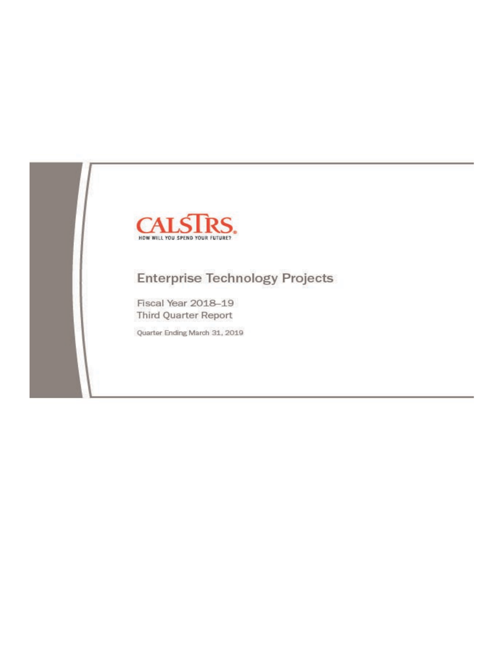

# **Enterprise Technology Projects**

Fiscal Year 2018-19 Third Quarter Report

Quarter Ending March 31, 2019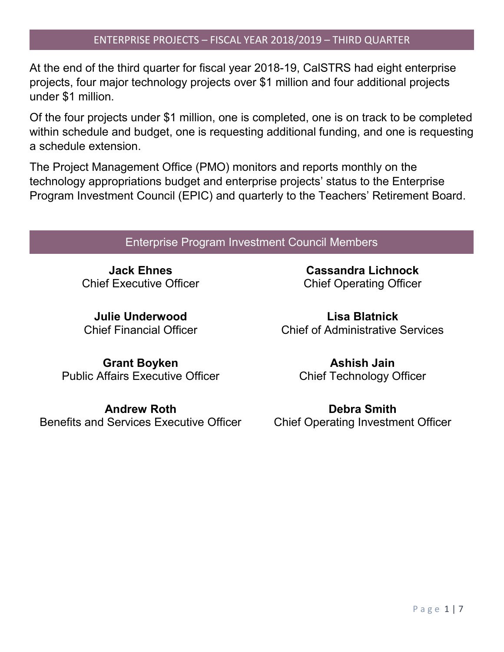### ENTERPRISE PROJECTS – FISCAL YEAR 2018/2019 – THIRD QUARTER

At the end of the third quarter for fiscal year 2018-19, CalSTRS had eight enterprise projects, four major technology projects over \$1 million and four additional projects under \$1 million.

Of the four projects under \$1 million, one is completed, one is on track to be completed within schedule and budget, one is requesting additional funding, and one is requesting a schedule extension.

The Project Management Office (PMO) monitors and reports monthly on the technology appropriations budget and enterprise projects' status to the Enterprise Program Investment Council (EPIC) and quarterly to the Teachers' Retirement Board.

### Enterprise Program Investment Council Members

**Jack Ehnes** Chief Executive Officer

**Julie Underwood** Chief Financial Officer

**Cassandra Lichnock** Chief Operating Officer

**Lisa Blatnick** Chief of Administrative Services

**Grant Boyken** Public Affairs Executive Officer

**Andrew Roth** Benefits and Services Executive Officer

**Ashish Jain** Chief Technology Officer

**Debra Smith** Chief Operating Investment Officer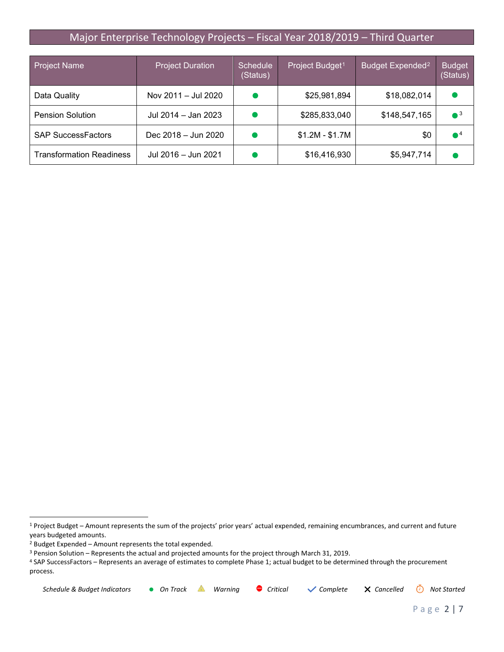### Major Enterprise Technology Projects – Fiscal Year 2018/2019 – Third Quarter

| <b>Project Name</b>             | <b>Project Duration</b> | <b>Schedule</b><br>(Status) | Project Budget <sup>1</sup> | Budget Expended <sup>2</sup> | <b>Budget</b><br>(Status) |
|---------------------------------|-------------------------|-----------------------------|-----------------------------|------------------------------|---------------------------|
| Data Quality                    | Nov 2011 - Jul 2020     |                             | \$25,981,894                | \$18,082,014                 |                           |
| <b>Pension Solution</b>         | Jul 2014 – Jan 2023     |                             | \$285,833,040               | \$148,547,165                | $^{\circ}$ <sup>3</sup>   |
| <b>SAP SuccessFactors</b>       | Dec 2018 – Jun 2020     |                             | $$1.2M - $1.7M$             | \$0                          | $\bullet^4$               |
| <b>Transformation Readiness</b> | Jul 2016 - Jun 2021     |                             | \$16,416,930                | \$5,947,714                  |                           |

<span id="page-2-3"></span><sup>4</sup> SAP SuccessFactors – Represents an average of estimates to complete Phase 1; actual budget to be determined through the procurement process.

| Schedule & Budget Indicators • On Track |  |  |  | Warning $\bullet$ Critical $\checkmark$ Complete $\checkmark$ Cancelled $\check{\odot}$ Not Started |  |  |
|-----------------------------------------|--|--|--|-----------------------------------------------------------------------------------------------------|--|--|
|-----------------------------------------|--|--|--|-----------------------------------------------------------------------------------------------------|--|--|

<span id="page-2-0"></span> <sup>1</sup> Project Budget – Amount represents the sum of the projects' prior years' actual expended, remaining encumbrances, and current and future years budgeted amounts.

<span id="page-2-1"></span><sup>2</sup> Budget Expended – Amount represents the total expended.

<span id="page-2-2"></span><sup>3</sup> Pension Solution – Represents the actual and projected amounts for the project through March 31, 2019.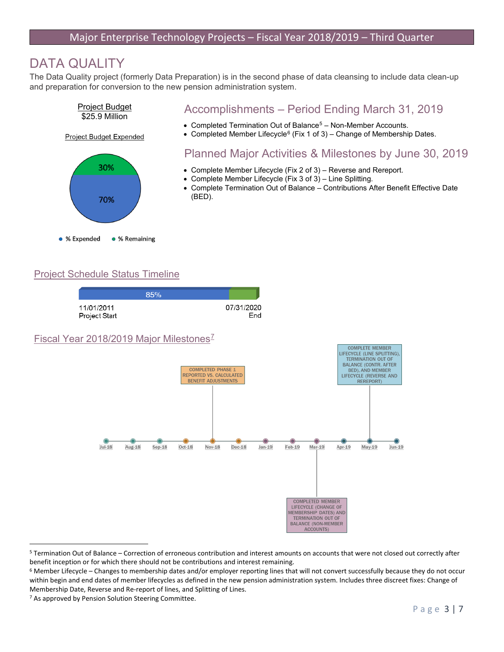## DATA QUALITY

The Data Quality project (formerly Data Preparation) is in the second phase of data cleansing to include data clean-up and preparation for conversion to the new pension administration system.



### Accomplishments – Period Ending March 31, 2019

- Completed Termination Out of Balance<sup>[5](#page-3-0)</sup> Non-Member Accounts.
- Completed Member Lifecycle<sup>[6](#page-3-1)</sup> (Fix 1 of 3) Change of Membership Dates.

### Planned Major Activities & Milestones by June 30, 2019

- Complete Member Lifecycle (Fix 2 of 3) Reverse and Rereport.
- Complete Member Lifecycle (Fix 3 of 3) Line Splitting.
- Complete Termination Out of Balance Contributions After Benefit Effective Date (BED).

#### Project Schedule Status Timeline



<span id="page-3-0"></span> <sup>5</sup> Termination Out of Balance – Correction of erroneous contribution and interest amounts on accounts that were not closed out correctly after benefit inception or for which there should not be contributions and interest remaining.

<span id="page-3-1"></span><sup>6</sup> Member Lifecycle – Changes to membership dates and/or employer reporting lines that will not convert successfully because they do not occur within begin and end dates of member lifecycles as defined in the new pension administration system. Includes three discreet fixes: Change of Membership Date, Reverse and Re-report of lines, and Splitting of Lines.

<span id="page-3-2"></span><sup>7</sup> As approved by Pension Solution Steering Committee.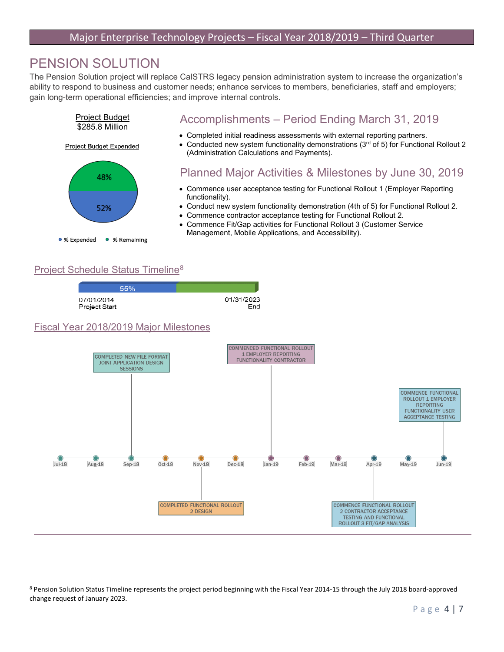## PENSION SOLUTION

The Pension Solution project will replace CalSTRS legacy pension administration system to increase the organization's ability to respond to business and customer needs; enhance services to members, beneficiaries, staff and employers; gain long-term operational efficiencies; and improve internal controls.



#### Project Schedule Status Timeline[8](#page-4-0)

| 55%           |            |
|---------------|------------|
| 07/01/2014    | 01/31/2023 |
| Project Start | End        |

#### Fiscal Year 2018/2019 Major Milestones



<span id="page-4-0"></span> <sup>8</sup> Pension Solution Status Timeline represents the project period beginning with the Fiscal Year 2014-15 through the July 2018 board-approved change request of January 2023.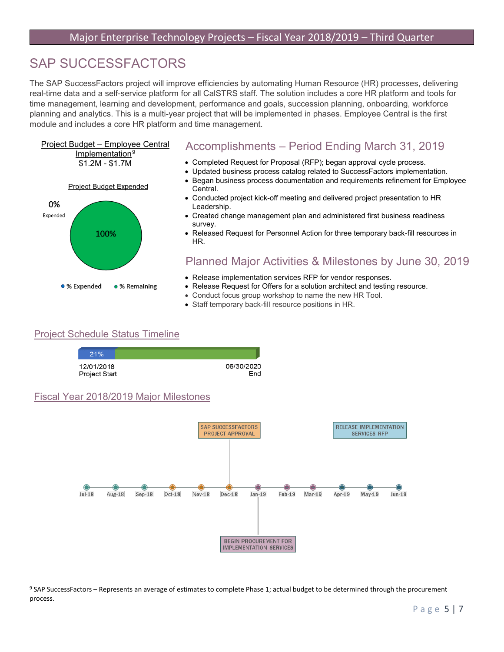## SAP SUCCESSFACTORS

The SAP SuccessFactors project will improve efficiencies by automating Human Resource (HR) processes, delivering real-time data and a self-service platform for all CalSTRS staff. The solution includes a core HR platform and tools for time management, learning and development, performance and goals, succession planning, onboarding, workforce planning and analytics. This is a multi-year project that will be implemented in phases. Employee Central is the first module and includes a core HR platform and time management.

## Project Budget – Employee Central Implementation<sup>[9](#page-5-0)</sup> \$1.2M - \$1.7M



### Accomplishments – Period Ending March 31, 2019

- Completed Request for Proposal (RFP); began approval cycle process.
- Updated business process catalog related to SuccessFactors implementation.
- Began business process documentation and requirements refinement for Employee Central.
- Conducted project kick-off meeting and delivered project presentation to HR Leadership.
- Created change management plan and administered first business readiness survey.
- Released Request for Personnel Action for three temporary back-fill resources in HR.

### Planned Major Activities & Milestones by June 30, 2019

- Release implementation services RFP for vendor responses.
- Release Request for Offers for a solution architect and testing resource.
- Conduct focus group workshop to name the new HR Tool.
- Staff temporary back-fill resource positions in HR.

### Project Schedule Status Timeline

21% 12/01/2018 Project Start

06/30/2020 End

#### Fiscal Year 2018/2019 Major Milestones



<span id="page-5-0"></span> <sup>9</sup> SAP SuccessFactors – Represents an average of estimates to complete Phase 1; actual budget to be determined through the procurement process.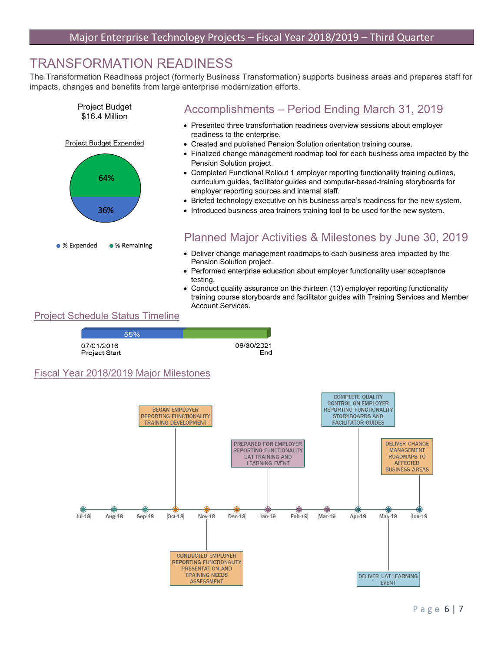## TRANSFORMATION READINESS

The Transformation Readiness project (formerly Business Transformation) supports business areas and prepares staff for impacts, changes and benefits from large enterprise modernization efforts.



### Accomplishments – Period Ending March 31, 2019

- Presented three transformation readiness overview sessions about employer readiness to the enterprise.
- Created and published Pension Solution orientation training course.
- Finalized change management roadmap tool for each business area impacted by the Pension Solution project.
- Completed Functional Rollout 1 employer reporting functionality training outlines, curriculum guides, facilitator guides and computer-based-training storyboards for employer reporting sources and internal staff.
- Briefed technology executive on his business area's readiness for the new system.
- Introduced business area trainers training tool to be used for the new system.

### Planned Major Activities & Milestones by June 30, 2019

- Deliver change management roadmaps to each business area impacted by the Pension Solution project.
- Performed enterprise education about employer functionality user acceptance testing.
- Conduct quality assurance on the thirteen (13) employer reporting functionality training course storyboards and facilitator guides with Training Services and Member Account Services.

### Project Schedule Status Timeline

| 55%                         |            |     |
|-----------------------------|------------|-----|
| 07/01/2016<br>Project Start | 06/30/2021 | End |

#### Fiscal Year 2018/2019 Major Milestones